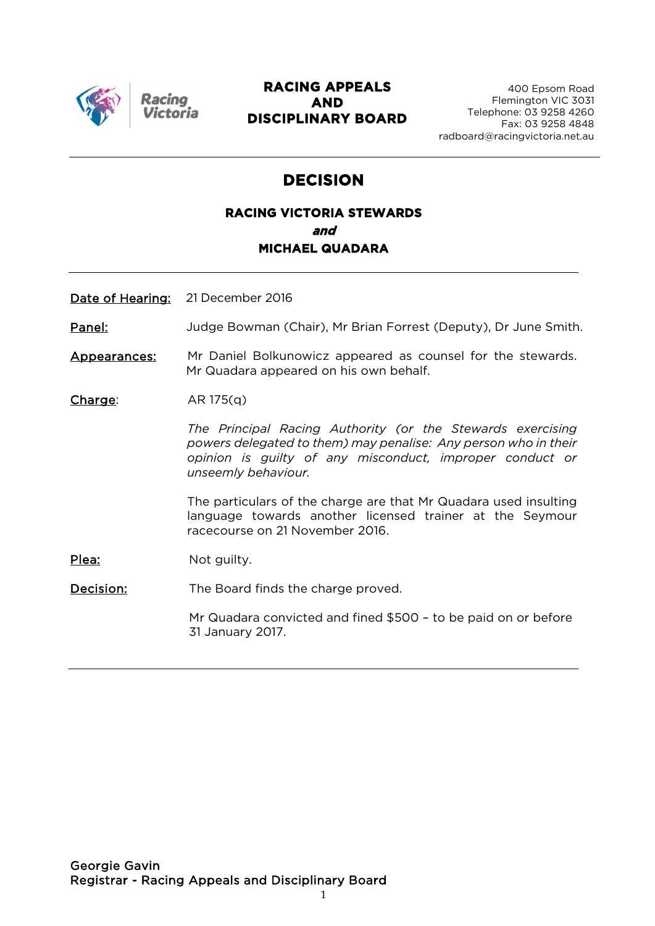

Racing

#### **RACING APPEALS AND DISCIPLINARY BOARD**

# **DECISION**

### **RACING VICTORIA STEWARDS and MICHAEL QUADARA**

Date of Hearing: 21 December 2016

Panel: Judge Bowman (Chair), Mr Brian Forrest (Deputy), Dr June Smith.

Appearances: Mr Daniel Bolkunowicz appeared as counsel for the stewards. Mr Quadara appeared on his own behalf.

 $Change:$  AR 175(q)

*The Principal Racing Authority (or the Stewards exercising powers delegated to them) may penalise: Any person who in their opinion is guilty of any misconduct, improper conduct or unseemly behaviour.*

The particulars of the charge are that Mr Quadara used insulting language towards another licensed trainer at the Seymour racecourse on 21 November 2016.

Plea: Not guilty.

Decision: The Board finds the charge proved.

Mr Quadara convicted and fined \$500 – to be paid on or before 31 January 2017.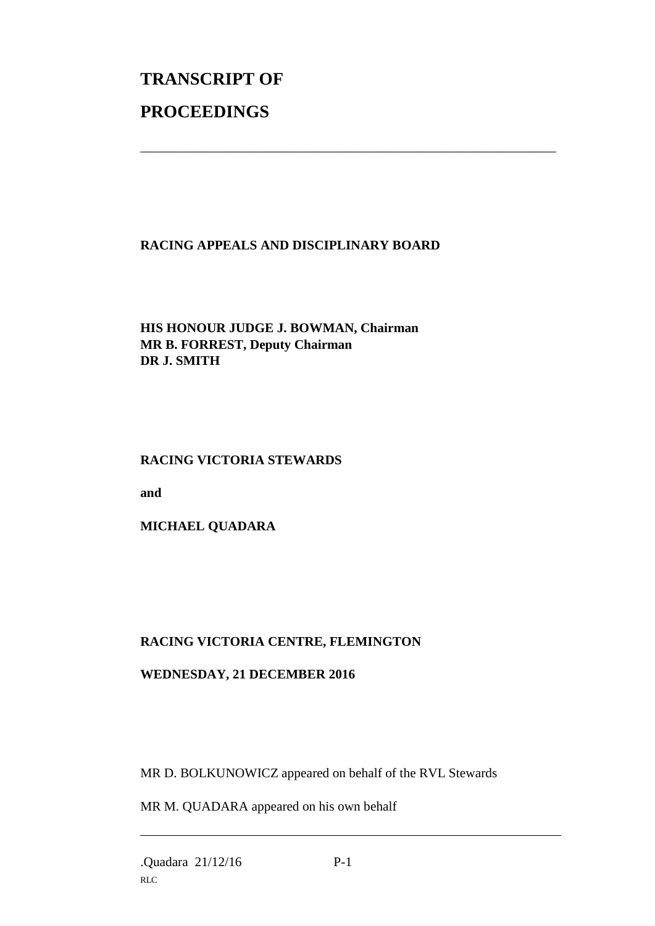# **TRANSCRIPT OF PROCEEDINGS**

#### **RACING APPEALS AND DISCIPLINARY BOARD**

\_\_\_\_\_\_\_\_\_\_\_\_\_\_\_\_\_\_\_\_\_\_\_\_\_\_\_\_\_\_\_\_\_\_\_\_\_\_\_\_\_\_\_\_\_\_\_\_\_\_\_\_\_\_\_\_\_\_\_\_\_\_\_

#### **HIS HONOUR JUDGE J. BOWMAN, Chairman MR B. FORREST, Deputy Chairman DR J. SMITH**

#### **RACING VICTORIA STEWARDS**

**and** 

**MICHAEL QUADARA**

## **RACING VICTORIA CENTRE, FLEMINGTON**

#### **WEDNESDAY, 21 DECEMBER 2016**

MR D. BOLKUNOWICZ appeared on behalf of the RVL Stewards

MR M. QUADARA appeared on his own behalf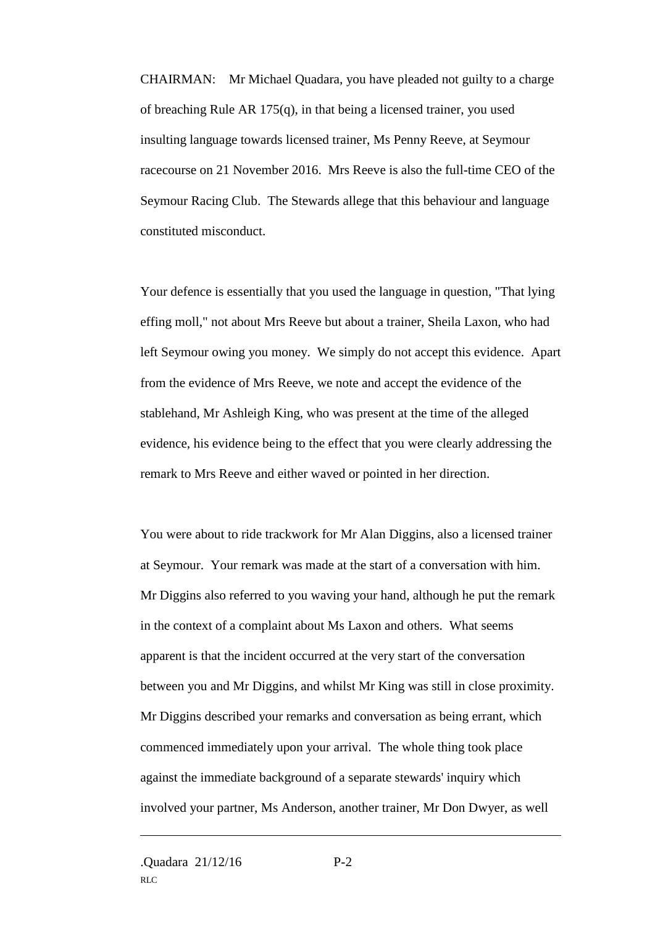CHAIRMAN: Mr Michael Quadara, you have pleaded not guilty to a charge of breaching Rule AR 175(q), in that being a licensed trainer, you used insulting language towards licensed trainer, Ms Penny Reeve, at Seymour racecourse on 21 November 2016. Mrs Reeve is also the full-time CEO of the Seymour Racing Club. The Stewards allege that this behaviour and language constituted misconduct.

Your defence is essentially that you used the language in question, "That lying effing moll," not about Mrs Reeve but about a trainer, Sheila Laxon, who had left Seymour owing you money. We simply do not accept this evidence. Apart from the evidence of Mrs Reeve, we note and accept the evidence of the stablehand, Mr Ashleigh King, who was present at the time of the alleged evidence, his evidence being to the effect that you were clearly addressing the remark to Mrs Reeve and either waved or pointed in her direction.

You were about to ride trackwork for Mr Alan Diggins, also a licensed trainer at Seymour. Your remark was made at the start of a conversation with him. Mr Diggins also referred to you waving your hand, although he put the remark in the context of a complaint about Ms Laxon and others. What seems apparent is that the incident occurred at the very start of the conversation between you and Mr Diggins, and whilst Mr King was still in close proximity. Mr Diggins described your remarks and conversation as being errant, which commenced immediately upon your arrival. The whole thing took place against the immediate background of a separate stewards' inquiry which involved your partner, Ms Anderson, another trainer, Mr Don Dwyer, as well